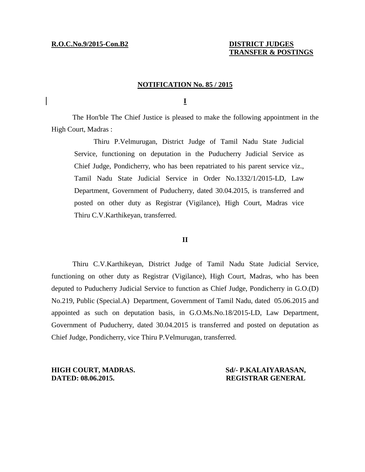### **R.O.C.No.9/2015-Con.B2 DISTRICT JUDGES**

## **TRANSFER & POSTINGS**

### **NOTIFICATION No. 85 / 2015**

### **I**

The Hon'ble The Chief Justice is pleased to make the following appointment in the High Court, Madras :

Thiru P.Velmurugan, District Judge of Tamil Nadu State Judicial Service, functioning on deputation in the Puducherry Judicial Service as Chief Judge, Pondicherry, who has been repatriated to his parent service viz., Tamil Nadu State Judicial Service in Order No.1332/1/2015-LD, Law Department, Government of Puducherry, dated 30.04.2015, is transferred and posted on other duty as Registrar (Vigilance), High Court, Madras vice Thiru C.V.Karthikeyan, transferred.

### **II**

Thiru C.V.Karthikeyan, District Judge of Tamil Nadu State Judicial Service, functioning on other duty as Registrar (Vigilance), High Court, Madras, who has been deputed to Puducherry Judicial Service to function as Chief Judge, Pondicherry in G.O.(D) No.219, Public (Special.A) Department, Government of Tamil Nadu, dated 05.06.2015 and appointed as such on deputation basis, in G.O.Ms.No.18/2015-LD, Law Department, Government of Puducherry, dated 30.04.2015 is transferred and posted on deputation as Chief Judge, Pondicherry, vice Thiru P.Velmurugan, transferred.

**DATED: 08.06.2015. REGISTRAR GENERAL**

# **HIGH COURT, MADRAS. Sd/- P.KALAIYARASAN,**